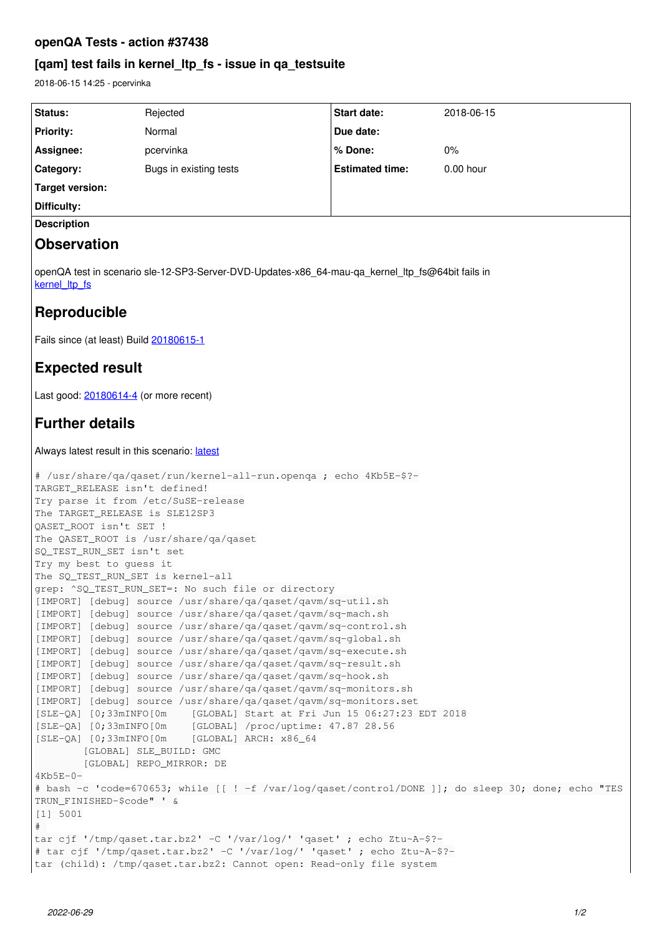## **openQA Tests - action #37438**

# **[qam] test fails in kernel\_ltp\_fs - issue in qa\_testsuite**

2018-06-15 14:25 - pcervinka

| Status:                                                                                                                         | Rejected               | Start date:            | 2018-06-15  |
|---------------------------------------------------------------------------------------------------------------------------------|------------------------|------------------------|-------------|
| <b>Priority:</b>                                                                                                                | Normal                 | Due date:              |             |
| Assignee:                                                                                                                       | pcervinka              | % Done:                | 0%          |
| Category:                                                                                                                       | Bugs in existing tests | <b>Estimated time:</b> | $0.00$ hour |
| <b>Target version:</b>                                                                                                          |                        |                        |             |
| Difficulty:                                                                                                                     |                        |                        |             |
| <b>Description</b>                                                                                                              |                        |                        |             |
| <b>Observation</b>                                                                                                              |                        |                        |             |
| openQA test in scenario sle-12-SP3-Server-DVD-Updates-x86_64-mau-qa_kernel_ltp_fs@64bit fails in<br>kernel Itp fs               |                        |                        |             |
| Reproducible                                                                                                                    |                        |                        |             |
| Fails since (at least) Build 20180615-1                                                                                         |                        |                        |             |
| <b>Expected result</b>                                                                                                          |                        |                        |             |
| Last good: 20180614-4 (or more recent)                                                                                          |                        |                        |             |
| <b>Further details</b>                                                                                                          |                        |                        |             |
| Always latest result in this scenario: latest                                                                                   |                        |                        |             |
| # /usr/share/qa/qaset/run/kernel-all-run.openqa ; echo 4Kb5E-\$?-<br>TARGET_RELEASE isn't defined!                              |                        |                        |             |
| Try parse it from /etc/SuSE-release                                                                                             |                        |                        |             |
| The TARGET_RELEASE is SLE12SP3<br>QASET_ROOT isn't SET !                                                                        |                        |                        |             |
| The QASET_ROOT is /usr/share/qa/qaset                                                                                           |                        |                        |             |
| SQ_TEST_RUN_SET isn't set<br>Try my best to guess it                                                                            |                        |                        |             |
| The SQ_TEST_RUN_SET is kernel-all                                                                                               |                        |                        |             |
| grep: ^SQ_TEST_RUN_SET=: No such file or directory<br>[IMPORT] [debug] source /usr/share/qa/qaset/qavm/sq-util.sh               |                        |                        |             |
| [IMPORT] [debug] source /usr/share/qa/qaset/qavm/sq-mach.sh                                                                     |                        |                        |             |
| [IMPORT] [debug] source /usr/share/qa/qaset/qavm/sq-control.sh                                                                  |                        |                        |             |
| [IMPORT] [debug] source /usr/share/qa/qaset/qavm/sq-global.sh<br>[IMPORT] [debug] source /usr/share/qa/qaset/qavm/sq-execute.sh |                        |                        |             |
| [IMPORT] [debug] source /usr/share/qa/qaset/qavm/sq-result.sh                                                                   |                        |                        |             |
| [IMPORT] [debug] source /usr/share/qa/qaset/qavm/sq-hook.sh<br>[IMPORT] [debug] source /usr/share/qa/qaset/qavm/sq-monitors.sh  |                        |                        |             |
| [IMPORT] [debug] source /usr/share/qa/qaset/qavm/sq-monitors.set                                                                |                        |                        |             |
| $[SLE-QA]$ $[0;33mINEO[0m$<br>[GLOBAL] Start at Fri Jun 15 06:27:23 EDT 2018                                                    |                        |                        |             |
| [SLE-QA] [0;33mINFO[0m [GLOBAL] /proc/uptime: 47.87 28.56<br>$[SLE-QA]$ $[0;33mINEO[0m$<br>[GLOBAL] ARCH: x86_64                |                        |                        |             |
| [GLOBAL] SLE_BUILD: GMC                                                                                                         |                        |                        |             |
| [GLOBAL] REPO_MIRROR: DE                                                                                                        |                        |                        |             |
| $4Kb5E-0-$<br># bash -c 'code=670653; while [[ ! -f /var/log/qaset/control/DONE ]]; do sleep 30; done; echo "TES                |                        |                        |             |
| TRUN_FINISHED-\$code" ' &                                                                                                       |                        |                        |             |
| [1] 5001                                                                                                                        |                        |                        |             |
| #<br>tar cjf '/tmp/qaset.tar.bz2' -C '/var/log/' 'qaset' ; echo Ztu~A-\$?-                                                      |                        |                        |             |
| # tar cjf '/tmp/qaset.tar.bz2' -C '/var/log/' 'qaset' ; echo Ztu~A-\$?-                                                         |                        |                        |             |
| tar (child): /tmp/qaset.tar.bz2: Cannot open: Read-only file system                                                             |                        |                        |             |